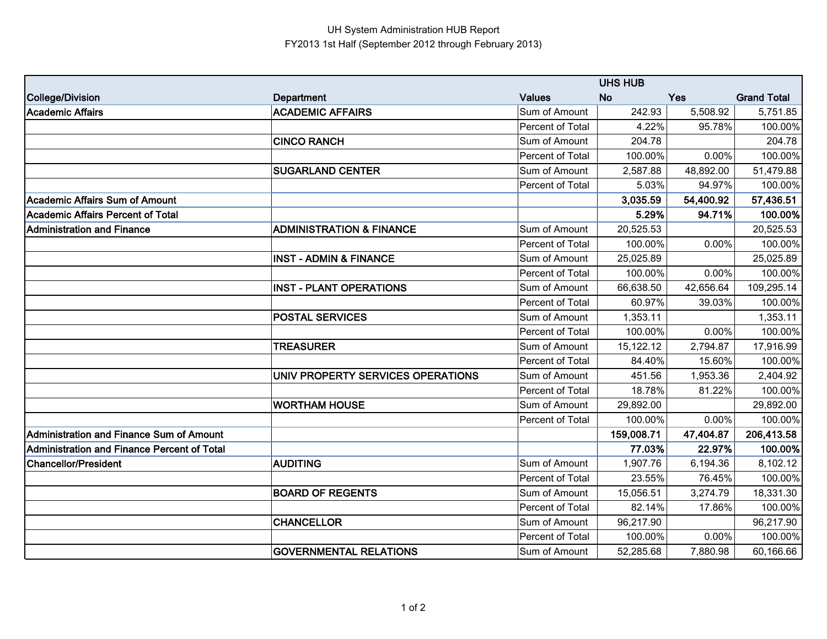## UH System Administration HUB Report FY2013 1st Half (September 2012 through February 2013)

|                                                 | <b>UHS HUB</b>                      |                  |            |            |                    |
|-------------------------------------------------|-------------------------------------|------------------|------------|------------|--------------------|
| College/Division                                | Department                          | <b>Values</b>    | <b>No</b>  | <b>Yes</b> | <b>Grand Total</b> |
| <b>Academic Affairs</b>                         | <b>ACADEMIC AFFAIRS</b>             | Sum of Amount    | 242.93     | 5,508.92   | 5,751.85           |
|                                                 |                                     | Percent of Total | 4.22%      | 95.78%     | 100.00%            |
|                                                 | <b>CINCO RANCH</b>                  | Sum of Amount    | 204.78     |            | 204.78             |
|                                                 |                                     | Percent of Total | 100.00%    | 0.00%      | 100.00%            |
|                                                 | <b>SUGARLAND CENTER</b>             | Sum of Amount    | 2,587.88   | 48,892.00  | 51,479.88          |
|                                                 |                                     | Percent of Total | 5.03%      | 94.97%     | 100.00%            |
| <b>Academic Affairs Sum of Amount</b>           |                                     |                  | 3,035.59   | 54,400.92  | 57,436.51          |
| <b>Academic Affairs Percent of Total</b>        |                                     |                  | 5.29%      | 94.71%     | 100.00%            |
| <b>Administration and Finance</b>               | <b>ADMINISTRATION &amp; FINANCE</b> | Sum of Amount    | 20,525.53  |            | 20,525.53          |
|                                                 |                                     | Percent of Total | 100.00%    | 0.00%      | 100.00%            |
|                                                 | <b>INST - ADMIN &amp; FINANCE</b>   | Sum of Amount    | 25,025.89  |            | 25,025.89          |
|                                                 |                                     | Percent of Total | 100.00%    | 0.00%      | 100.00%            |
|                                                 | <b>INST - PLANT OPERATIONS</b>      | Sum of Amount    | 66,638.50  | 42,656.64  | 109,295.14         |
|                                                 |                                     | Percent of Total | 60.97%     | 39.03%     | 100.00%            |
|                                                 | <b>POSTAL SERVICES</b>              | Sum of Amount    | 1,353.11   |            | 1,353.11           |
|                                                 |                                     | Percent of Total | 100.00%    | 0.00%      | 100.00%            |
|                                                 | <b>TREASURER</b>                    | Sum of Amount    | 15,122.12  | 2,794.87   | 17,916.99          |
|                                                 |                                     | Percent of Total | 84.40%     | 15.60%     | 100.00%            |
|                                                 | UNIV PROPERTY SERVICES OPERATIONS   | Sum of Amount    | 451.56     | 1,953.36   | 2,404.92           |
|                                                 |                                     | Percent of Total | 18.78%     | 81.22%     | 100.00%            |
|                                                 | <b>WORTHAM HOUSE</b>                | Sum of Amount    | 29,892.00  |            | 29,892.00          |
|                                                 |                                     | Percent of Total | 100.00%    | 0.00%      | 100.00%            |
| <b>Administration and Finance Sum of Amount</b> |                                     |                  | 159,008.71 | 47,404.87  | 206,413.58         |
| Administration and Finance Percent of Total     |                                     |                  | 77.03%     | 22.97%     | 100.00%            |
| <b>Chancellor/President</b>                     | <b>AUDITING</b>                     | Sum of Amount    | 1,907.76   | 6,194.36   | 8,102.12           |
|                                                 |                                     | Percent of Total | 23.55%     | 76.45%     | 100.00%            |
|                                                 | <b>BOARD OF REGENTS</b>             | Sum of Amount    | 15,056.51  | 3,274.79   | 18,331.30          |
|                                                 |                                     | Percent of Total | 82.14%     | 17.86%     | 100.00%            |
|                                                 | <b>CHANCELLOR</b>                   | Sum of Amount    | 96,217.90  |            | 96,217.90          |
|                                                 |                                     | Percent of Total | 100.00%    | 0.00%      | 100.00%            |
|                                                 | <b>GOVERNMENTAL RELATIONS</b>       | Sum of Amount    | 52,285.68  | 7,880.98   | 60,166.66          |